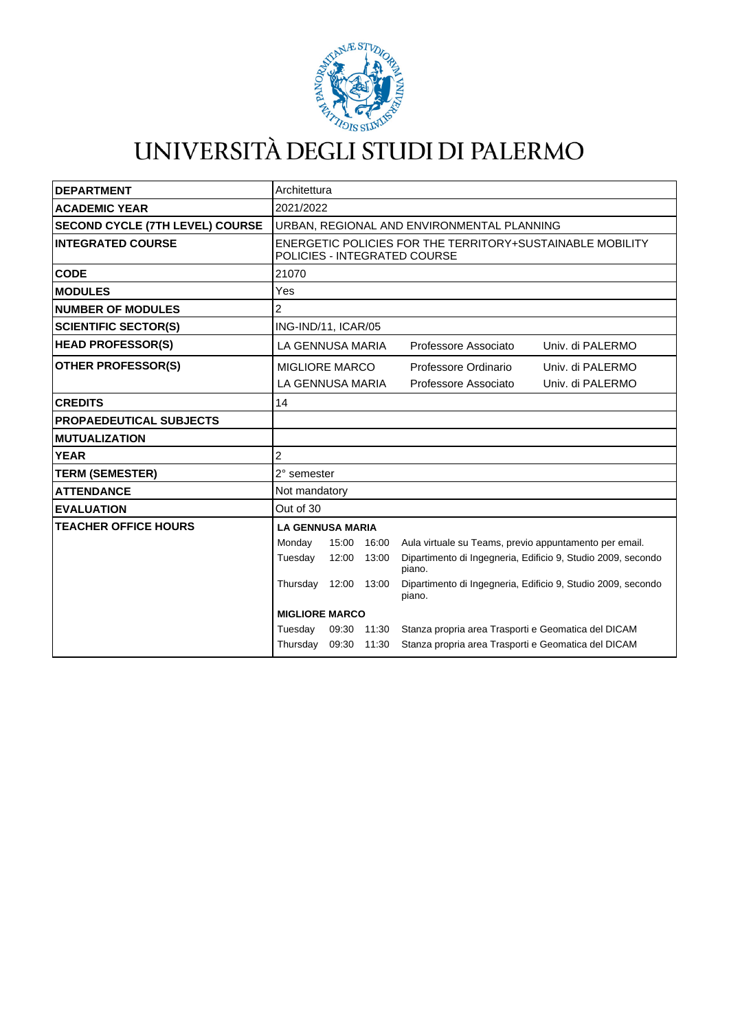

# UNIVERSITÀ DEGLI STUDI DI PALERMO

| <b>DEPARTMENT</b>                      | Architettura                                                                              |       |             |                                                                        |
|----------------------------------------|-------------------------------------------------------------------------------------------|-------|-------------|------------------------------------------------------------------------|
| <b>ACADEMIC YEAR</b>                   | 2021/2022                                                                                 |       |             |                                                                        |
| <b>SECOND CYCLE (7TH LEVEL) COURSE</b> | URBAN, REGIONAL AND ENVIRONMENTAL PLANNING                                                |       |             |                                                                        |
| <b>INTEGRATED COURSE</b>               | ENERGETIC POLICIES FOR THE TERRITORY+SUSTAINABLE MOBILITY<br>POLICIES - INTEGRATED COURSE |       |             |                                                                        |
| <b>CODE</b>                            | 21070                                                                                     |       |             |                                                                        |
| <b>MODULES</b>                         | Yes                                                                                       |       |             |                                                                        |
| <b>NUMBER OF MODULES</b>               | 2                                                                                         |       |             |                                                                        |
| <b>SCIENTIFIC SECTOR(S)</b>            | ING-IND/11, ICAR/05                                                                       |       |             |                                                                        |
| <b>HEAD PROFESSOR(S)</b>               | LA GENNUSA MARIA                                                                          |       |             | Professore Associato<br>Univ. di PALERMO                               |
| <b>OTHER PROFESSOR(S)</b>              | <b>MIGLIORE MARCO</b>                                                                     |       |             | Professore Ordinario<br>Univ. di PALERMO                               |
|                                        | LA GENNUSA MARIA                                                                          |       |             | Professore Associato<br>Univ. di PALERMO                               |
| <b>CREDITS</b>                         | 14                                                                                        |       |             |                                                                        |
| <b>PROPAEDEUTICAL SUBJECTS</b>         |                                                                                           |       |             |                                                                        |
| <b>MUTUALIZATION</b>                   |                                                                                           |       |             |                                                                        |
| <b>YEAR</b>                            | 2                                                                                         |       |             |                                                                        |
| <b>TERM (SEMESTER)</b>                 | 2° semester                                                                               |       |             |                                                                        |
| <b>ATTENDANCE</b>                      | Not mandatory                                                                             |       |             |                                                                        |
| <b>EVALUATION</b>                      | Out of 30                                                                                 |       |             |                                                                        |
| <b>TEACHER OFFICE HOURS</b>            | <b>LA GENNUSA MARIA</b>                                                                   |       |             |                                                                        |
|                                        | Monday                                                                                    |       | 15:00 16:00 | Aula virtuale su Teams, previo appuntamento per email.                 |
|                                        | Tuesday                                                                                   | 12:00 | 13:00       | Dipartimento di Ingegneria, Edificio 9, Studio 2009, secondo<br>piano. |
|                                        | Thursday                                                                                  | 12:00 | 13:00       | Dipartimento di Ingegneria, Edificio 9, Studio 2009, secondo<br>piano. |
|                                        | <b>MIGLIORE MARCO</b>                                                                     |       |             |                                                                        |
|                                        | Tuesday                                                                                   | 09:30 | 11:30       | Stanza propria area Trasporti e Geomatica del DICAM                    |
|                                        | Thursday 09:30 11:30                                                                      |       |             | Stanza propria area Trasporti e Geomatica del DICAM                    |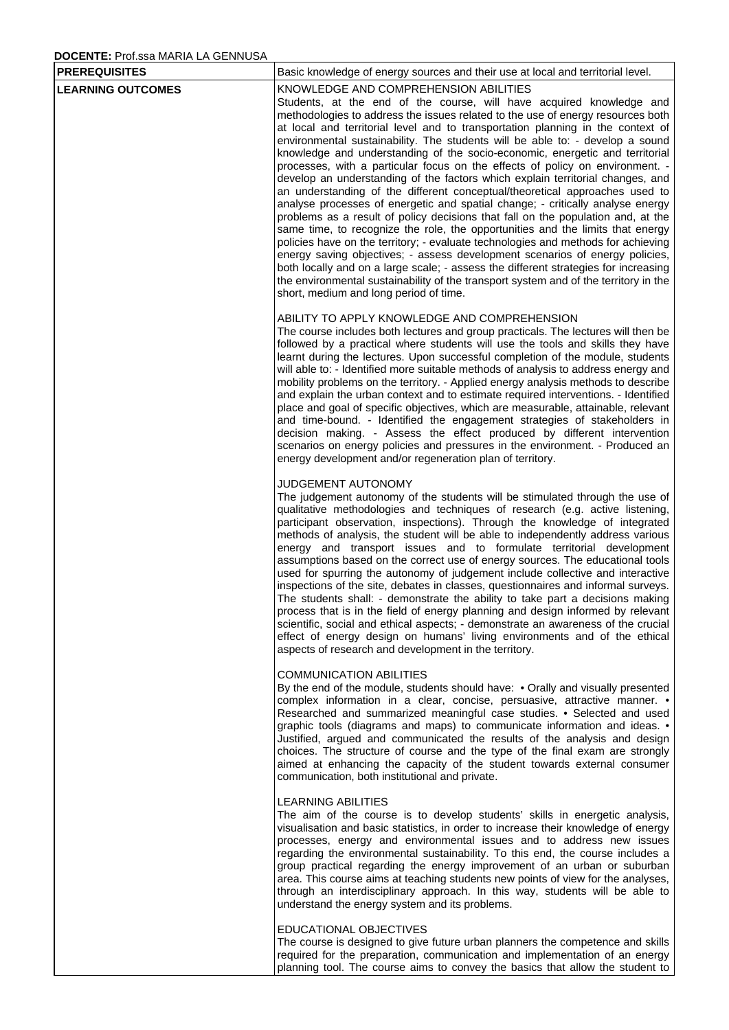# **DOCENTE:** Prof.ssa MARIA LA GENNUSA

| <b>PREREQUISITES</b>     | Basic knowledge of energy sources and their use at local and territorial level.                                                                                                                                                                                                                                                                                                                                                                                                                                                                                                                                                                                                                                                                                                                                                                                                                                                                                                                                                                                                                                                                                                                                                                                                                                                                              |
|--------------------------|--------------------------------------------------------------------------------------------------------------------------------------------------------------------------------------------------------------------------------------------------------------------------------------------------------------------------------------------------------------------------------------------------------------------------------------------------------------------------------------------------------------------------------------------------------------------------------------------------------------------------------------------------------------------------------------------------------------------------------------------------------------------------------------------------------------------------------------------------------------------------------------------------------------------------------------------------------------------------------------------------------------------------------------------------------------------------------------------------------------------------------------------------------------------------------------------------------------------------------------------------------------------------------------------------------------------------------------------------------------|
| <b>LEARNING OUTCOMES</b> | KNOWLEDGE AND COMPREHENSION ABILITIES<br>Students, at the end of the course, will have acquired knowledge and<br>methodologies to address the issues related to the use of energy resources both<br>at local and territorial level and to transportation planning in the context of<br>environmental sustainability. The students will be able to: - develop a sound<br>knowledge and understanding of the socio-economic, energetic and territorial<br>processes, with a particular focus on the effects of policy on environment. -<br>develop an understanding of the factors which explain territorial changes, and<br>an understanding of the different conceptual/theoretical approaches used to<br>analyse processes of energetic and spatial change; - critically analyse energy<br>problems as a result of policy decisions that fall on the population and, at the<br>same time, to recognize the role, the opportunities and the limits that energy<br>policies have on the territory; - evaluate technologies and methods for achieving<br>energy saving objectives; - assess development scenarios of energy policies,<br>both locally and on a large scale; - assess the different strategies for increasing<br>the environmental sustainability of the transport system and of the territory in the<br>short, medium and long period of time. |
|                          | ABILITY TO APPLY KNOWLEDGE AND COMPREHENSION<br>The course includes both lectures and group practicals. The lectures will then be<br>followed by a practical where students will use the tools and skills they have<br>learnt during the lectures. Upon successful completion of the module, students<br>will able to: - Identified more suitable methods of analysis to address energy and<br>mobility problems on the territory. - Applied energy analysis methods to describe<br>and explain the urban context and to estimate required interventions. - Identified<br>place and goal of specific objectives, which are measurable, attainable, relevant<br>and time-bound. - Identified the engagement strategies of stakeholders in<br>decision making. - Assess the effect produced by different intervention<br>scenarios on energy policies and pressures in the environment. - Produced an<br>energy development and/or regeneration plan of territory.                                                                                                                                                                                                                                                                                                                                                                                             |
|                          | JUDGEMENT AUTONOMY<br>The judgement autonomy of the students will be stimulated through the use of<br>qualitative methodologies and techniques of research (e.g. active listening,<br>participant observation, inspections). Through the knowledge of integrated<br>methods of analysis, the student will be able to independently address various<br>energy and transport issues and to formulate territorial development<br>assumptions based on the correct use of energy sources. The educational tools<br>used for spurring the autonomy of judgement include collective and interactive<br>inspections of the site, debates in classes, questionnaires and informal surveys.<br>The students shall: - demonstrate the ability to take part a decisions making<br>process that is in the field of energy planning and design informed by relevant<br>scientific, social and ethical aspects; - demonstrate an awareness of the crucial<br>effect of energy design on humans' living environments and of the ethical<br>aspects of research and development in the territory.                                                                                                                                                                                                                                                                            |
|                          | <b>COMMUNICATION ABILITIES</b><br>By the end of the module, students should have: • Orally and visually presented<br>complex information in a clear, concise, persuasive, attractive manner. •<br>Researched and summarized meaningful case studies. • Selected and used<br>graphic tools (diagrams and maps) to communicate information and ideas. •<br>Justified, argued and communicated the results of the analysis and design<br>choices. The structure of course and the type of the final exam are strongly<br>aimed at enhancing the capacity of the student towards external consumer<br>communication, both institutional and private.                                                                                                                                                                                                                                                                                                                                                                                                                                                                                                                                                                                                                                                                                                             |
|                          | <b>LEARNING ABILITIES</b><br>The aim of the course is to develop students' skills in energetic analysis,<br>visualisation and basic statistics, in order to increase their knowledge of energy<br>processes, energy and environmental issues and to address new issues<br>regarding the environmental sustainability. To this end, the course includes a<br>group practical regarding the energy improvement of an urban or suburban<br>area. This course aims at teaching students new points of view for the analyses,<br>through an interdisciplinary approach. In this way, students will be able to<br>understand the energy system and its problems.                                                                                                                                                                                                                                                                                                                                                                                                                                                                                                                                                                                                                                                                                                   |
|                          | EDUCATIONAL OBJECTIVES<br>The course is designed to give future urban planners the competence and skills<br>required for the preparation, communication and implementation of an energy<br>planning tool. The course aims to convey the basics that allow the student to                                                                                                                                                                                                                                                                                                                                                                                                                                                                                                                                                                                                                                                                                                                                                                                                                                                                                                                                                                                                                                                                                     |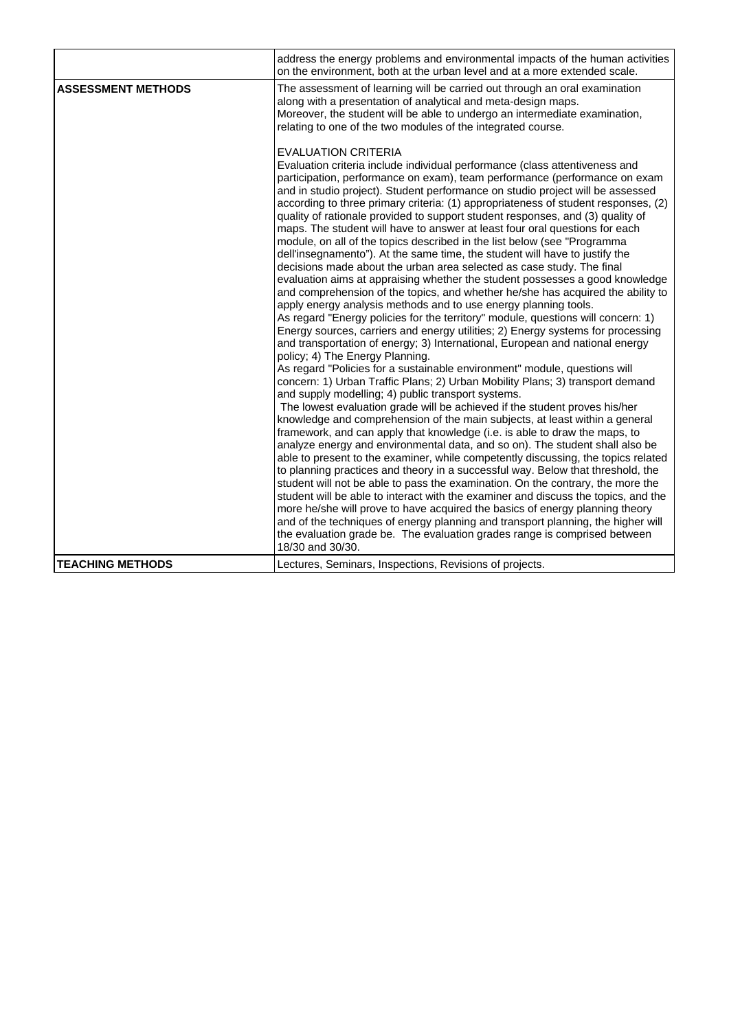|                           | address the energy problems and environmental impacts of the human activities<br>on the environment, both at the urban level and at a more extended scale.                                                                                                                                                                                                                                                                                                                                                                                                                                                                                                                                                                                                                                                                                                                                                                                                                                                                                                                                                                                                                                                                                                                                                                                                                                                                                                                                                                                                                                                                                                                                                                                                           |
|---------------------------|----------------------------------------------------------------------------------------------------------------------------------------------------------------------------------------------------------------------------------------------------------------------------------------------------------------------------------------------------------------------------------------------------------------------------------------------------------------------------------------------------------------------------------------------------------------------------------------------------------------------------------------------------------------------------------------------------------------------------------------------------------------------------------------------------------------------------------------------------------------------------------------------------------------------------------------------------------------------------------------------------------------------------------------------------------------------------------------------------------------------------------------------------------------------------------------------------------------------------------------------------------------------------------------------------------------------------------------------------------------------------------------------------------------------------------------------------------------------------------------------------------------------------------------------------------------------------------------------------------------------------------------------------------------------------------------------------------------------------------------------------------------------|
| <b>ASSESSMENT METHODS</b> | The assessment of learning will be carried out through an oral examination<br>along with a presentation of analytical and meta-design maps.<br>Moreover, the student will be able to undergo an intermediate examination,<br>relating to one of the two modules of the integrated course.                                                                                                                                                                                                                                                                                                                                                                                                                                                                                                                                                                                                                                                                                                                                                                                                                                                                                                                                                                                                                                                                                                                                                                                                                                                                                                                                                                                                                                                                            |
|                           | <b>EVALUATION CRITERIA</b><br>Evaluation criteria include individual performance (class attentiveness and<br>participation, performance on exam), team performance (performance on exam<br>and in studio project). Student performance on studio project will be assessed<br>according to three primary criteria: (1) appropriateness of student responses, (2)<br>quality of rationale provided to support student responses, and (3) quality of<br>maps. The student will have to answer at least four oral questions for each<br>module, on all of the topics described in the list below (see "Programma"<br>dell'insegnamento"). At the same time, the student will have to justify the<br>decisions made about the urban area selected as case study. The final<br>evaluation aims at appraising whether the student possesses a good knowledge<br>and comprehension of the topics, and whether he/she has acquired the ability to<br>apply energy analysis methods and to use energy planning tools.<br>As regard "Energy policies for the territory" module, questions will concern: 1)<br>Energy sources, carriers and energy utilities; 2) Energy systems for processing<br>and transportation of energy; 3) International, European and national energy<br>policy; 4) The Energy Planning.<br>As regard "Policies for a sustainable environment" module, questions will<br>concern: 1) Urban Traffic Plans; 2) Urban Mobility Plans; 3) transport demand<br>and supply modelling; 4) public transport systems.<br>The lowest evaluation grade will be achieved if the student proves his/her<br>knowledge and comprehension of the main subjects, at least within a general<br>framework, and can apply that knowledge (i.e. is able to draw the maps, to |
|                           | analyze energy and environmental data, and so on). The student shall also be<br>able to present to the examiner, while competently discussing, the topics related<br>to planning practices and theory in a successful way. Below that threshold, the<br>student will not be able to pass the examination. On the contrary, the more the                                                                                                                                                                                                                                                                                                                                                                                                                                                                                                                                                                                                                                                                                                                                                                                                                                                                                                                                                                                                                                                                                                                                                                                                                                                                                                                                                                                                                              |
|                           | student will be able to interact with the examiner and discuss the topics, and the<br>more he/she will prove to have acquired the basics of energy planning theory<br>and of the techniques of energy planning and transport planning, the higher will<br>the evaluation grade be. The evaluation grades range is comprised between<br>18/30 and 30/30.                                                                                                                                                                                                                                                                                                                                                                                                                                                                                                                                                                                                                                                                                                                                                                                                                                                                                                                                                                                                                                                                                                                                                                                                                                                                                                                                                                                                              |
| <b>TEACHING METHODS</b>   | Lectures, Seminars, Inspections, Revisions of projects.                                                                                                                                                                                                                                                                                                                                                                                                                                                                                                                                                                                                                                                                                                                                                                                                                                                                                                                                                                                                                                                                                                                                                                                                                                                                                                                                                                                                                                                                                                                                                                                                                                                                                                              |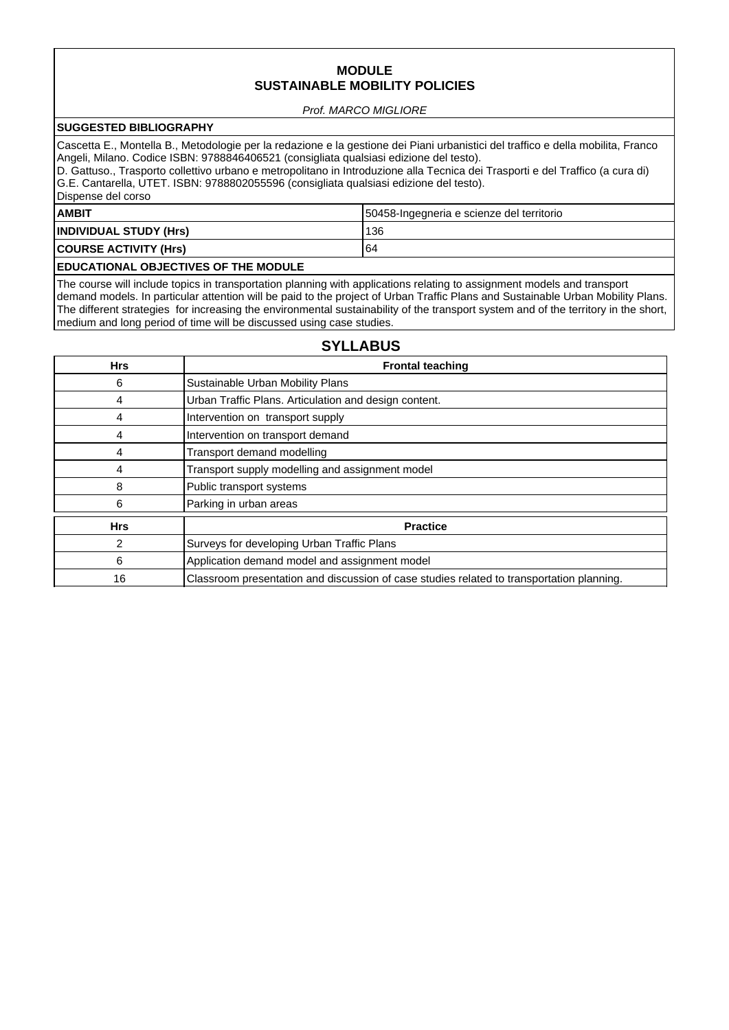## **MODULE SUSTAINABLE MOBILITY POLICIES**

#### Prof. MARCO MIGLIORE

## **SUGGESTED BIBLIOGRAPHY**

Cascetta E., Montella B., Metodologie per la redazione e la gestione dei Piani urbanistici del traffico e della mobilita, Franco Angeli, Milano. Codice ISBN: 9788846406521 (consigliata qualsiasi edizione del testo).

D. Gattuso., Trasporto collettivo urbano e metropolitano in Introduzione alla Tecnica dei Trasporti e del Traffico (a cura di) G.E. Cantarella, UTET. ISBN: 9788802055596 (consigliata qualsiasi edizione del testo). Dispense del corso

# **AMBIT** 50458-Ingegneria e scienze del territorio **INDIVIDUAL STUDY (Hrs)** 136 **COURSE ACTIVITY (Hrs)** 64 **EDUCATIONAL OBJECTIVES OF THE MODULE**

The course will include topics in transportation planning with applications relating to assignment models and transport demand models. In particular attention will be paid to the project of Urban Traffic Plans and Sustainable Urban Mobility Plans. The different strategies for increasing the environmental sustainability of the transport system and of the territory in the short, medium and long period of time will be discussed using case studies.

# **SYLLABUS**

| <b>Hrs</b> | <b>Frontal teaching</b>                                                                   |
|------------|-------------------------------------------------------------------------------------------|
| 6          | Sustainable Urban Mobility Plans                                                          |
| 4          | Urban Traffic Plans. Articulation and design content.                                     |
| 4          | Intervention on transport supply                                                          |
| 4          | Intervention on transport demand                                                          |
| 4          | Transport demand modelling                                                                |
| 4          | Transport supply modelling and assignment model                                           |
| 8          | Public transport systems                                                                  |
| 6          | Parking in urban areas                                                                    |
| <b>Hrs</b> | <b>Practice</b>                                                                           |
| 2          | Surveys for developing Urban Traffic Plans                                                |
| 6          | Application demand model and assignment model                                             |
| 16         | Classroom presentation and discussion of case studies related to transportation planning. |